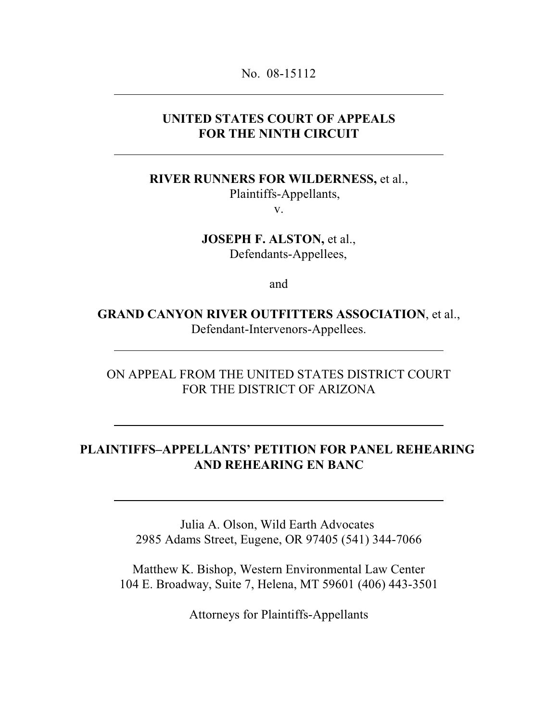No. 08-15112

#### **UNITED STATES COURT OF APPEALS FOR THE NINTH CIRCUIT**

**RIVER RUNNERS FOR WILDERNESS,** et al.,

Plaintiffs-Appellants,

v.

**JOSEPH F. ALSTON,** et al., Defendants-Appellees,

and

**GRAND CANYON RIVER OUTFITTERS ASSOCIATION**, et al., Defendant-Intervenors-Appellees.

ON APPEAL FROM THE UNITED STATES DISTRICT COURT FOR THE DISTRICT OF ARIZONA

### **PLAINTIFFS–APPELLANTS' PETITION FOR PANEL REHEARING AND REHEARING EN BANC**

Julia A. Olson, Wild Earth Advocates 2985 Adams Street, Eugene, OR 97405 (541) 344-7066

Matthew K. Bishop, Western Environmental Law Center 104 E. Broadway, Suite 7, Helena, MT 59601 (406) 443-3501

Attorneys for Plaintiffs-Appellants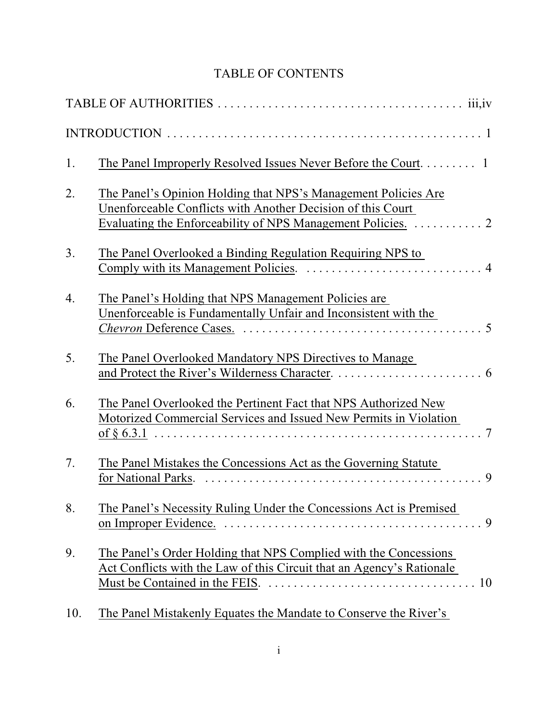# TABLE OF CONTENTS

| 1. |                                                                                                                                                        |  |
|----|--------------------------------------------------------------------------------------------------------------------------------------------------------|--|
| 2. | The Panel's Opinion Holding that NPS's Management Policies Are<br>Unenforceable Conflicts with Another Decision of this Court                          |  |
| 3. | <u>The Panel Overlooked a Binding Regulation Requiring NPS to</u>                                                                                      |  |
| 4. | The Panel's Holding that NPS Management Policies are<br>Unenforceable is Fundamentally Unfair and Inconsistent with the                                |  |
| 5. | The Panel Overlooked Mandatory NPS Directives to Manage                                                                                                |  |
| 6. | The Panel Overlooked the Pertinent Fact that NPS Authorized New<br>Motorized Commercial Services and Issued New Permits in Violation<br>$\overline{7}$ |  |
| 7. | The Panel Mistakes the Concessions Act as the Governing Statute<br>$\mathbf Q$<br>for National Parks.                                                  |  |
| 8. | The Panel's Necessity Ruling Under the Concessions Act is Premised                                                                                     |  |
| 9. | The Panel's Order Holding that NPS Complied with the Concessions<br>Act Conflicts with the Law of this Circuit that an Agency's Rationale              |  |
|    |                                                                                                                                                        |  |

10. The Panel Mistakenly Equates the Mandate to Conserve the River's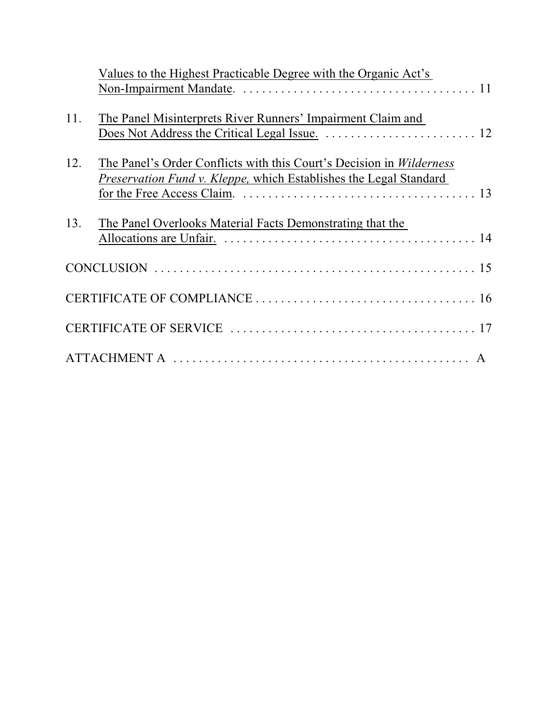|     | Values to the Highest Practicable Degree with the Organic Act's      |
|-----|----------------------------------------------------------------------|
|     |                                                                      |
|     |                                                                      |
| 11. | The Panel Misinterprets River Runners' Impairment Claim and          |
|     |                                                                      |
|     |                                                                      |
| 12. | The Panel's Order Conflicts with this Court's Decision in Wilderness |
|     | Preservation Fund v. Kleppe, which Establishes the Legal Standard    |
|     |                                                                      |
|     |                                                                      |
| 13. | The Panel Overlooks Material Facts Demonstrating that the            |
|     |                                                                      |
|     |                                                                      |
|     |                                                                      |
|     |                                                                      |
|     |                                                                      |
|     |                                                                      |
|     |                                                                      |
|     |                                                                      |
|     |                                                                      |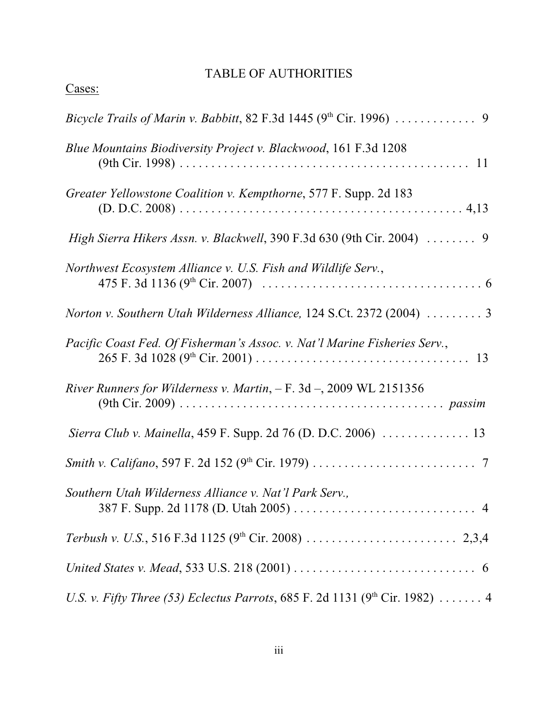## TABLE OF AUTHORITIES

| ∼<br>÷.<br>. . |  |
|----------------|--|
|                |  |

| <b>Blue Mountains Biodiversity Project v. Blackwood, 161 F.3d 1208</b>                           |
|--------------------------------------------------------------------------------------------------|
| Greater Yellowstone Coalition v. Kempthorne, 577 F. Supp. 2d 183                                 |
| High Sierra Hikers Assn. v. Blackwell, 390 F.3d 630 (9th Cir. 2004)  9                           |
| Northwest Ecosystem Alliance v. U.S. Fish and Wildlife Serv.,                                    |
| Norton v. Southern Utah Wilderness Alliance, 124 S.Ct. 2372 (2004)  3                            |
| Pacific Coast Fed. Of Fisherman's Assoc. v. Nat'l Marine Fisheries Serv.,                        |
| River Runners for Wilderness v. Martin, $- F. 3d - 2009 WL 2151356$                              |
|                                                                                                  |
|                                                                                                  |
| Southern Utah Wilderness Alliance v. Nat'l Park Serv.,                                           |
|                                                                                                  |
|                                                                                                  |
| <i>U.S. v. Fifty Three (53) Eclectus Parrots</i> , 685 F. 2d 1131 (9 <sup>th</sup> Cir. 1982)  4 |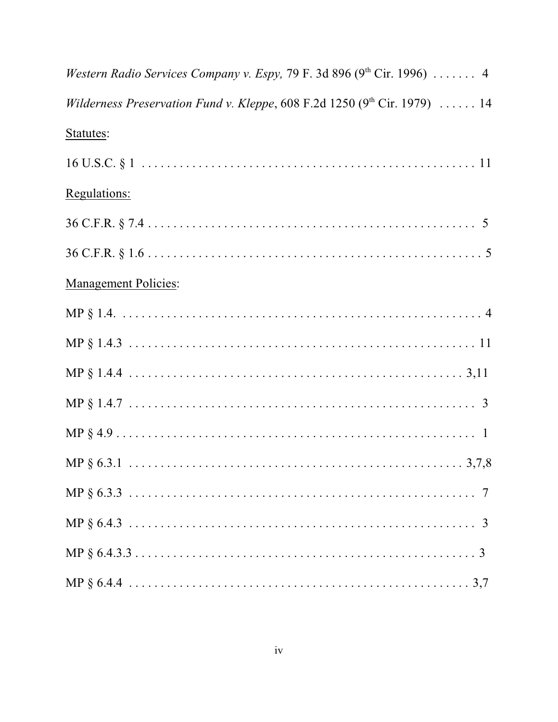| Western Radio Services Company v. Espy, 79 F. 3d 896 (9th Cir. 1996)  4        |
|--------------------------------------------------------------------------------|
| Wilderness Preservation Fund v. Kleppe, $608$ F.2d 1250 ( $9th$ Cir. 1979)  14 |
| Statutes:                                                                      |
|                                                                                |
| Regulations:                                                                   |
|                                                                                |
|                                                                                |
| <b>Management Policies:</b>                                                    |
|                                                                                |
|                                                                                |
|                                                                                |
|                                                                                |
|                                                                                |
|                                                                                |
|                                                                                |
|                                                                                |
|                                                                                |
|                                                                                |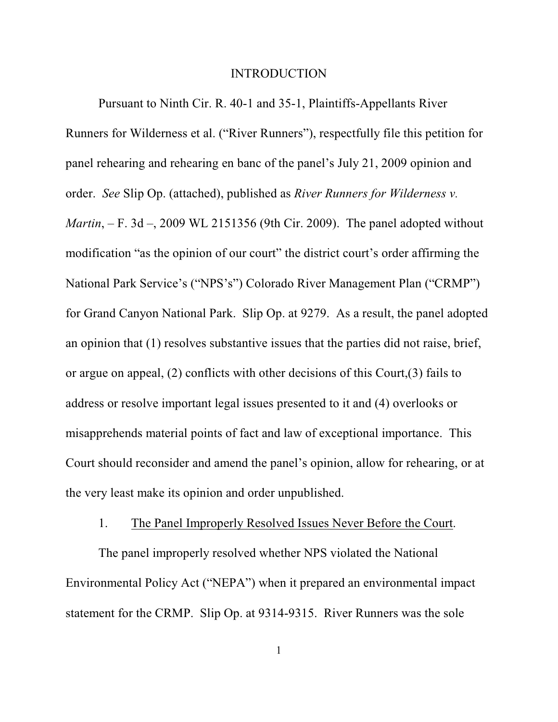#### INTRODUCTION

Pursuant to Ninth Cir. R. 40-1 and 35-1, Plaintiffs-Appellants River Runners for Wilderness et al. ("River Runners"), respectfully file this petition for panel rehearing and rehearing en banc of the panel's July 21, 2009 opinion and order. *See* Slip Op. (attached), published as *River Runners for Wilderness v. Martin*, – F. 3d –, 2009 WL 2151356 (9th Cir. 2009). The panel adopted without modification "as the opinion of our court" the district court's order affirming the National Park Service's ("NPS's") Colorado River Management Plan ("CRMP") for Grand Canyon National Park. Slip Op. at 9279. As a result, the panel adopted an opinion that (1) resolves substantive issues that the parties did not raise, brief, or argue on appeal, (2) conflicts with other decisions of this Court,(3) fails to address or resolve important legal issues presented to it and (4) overlooks or misapprehends material points of fact and law of exceptional importance. This Court should reconsider and amend the panel's opinion, allow for rehearing, or at the very least make its opinion and order unpublished.

#### 1. The Panel Improperly Resolved Issues Never Before the Court.

The panel improperly resolved whether NPS violated the National Environmental Policy Act ("NEPA") when it prepared an environmental impact statement for the CRMP. Slip Op. at 9314-9315. River Runners was the sole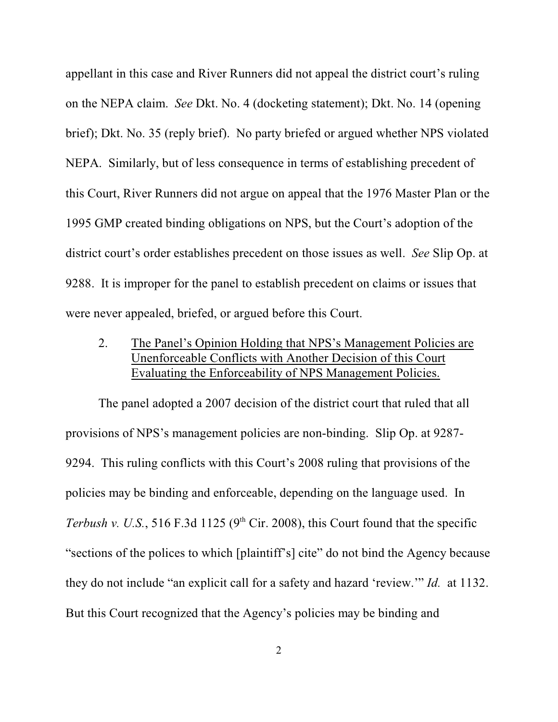appellant in this case and River Runners did not appeal the district court's ruling on the NEPA claim. *See* Dkt. No. 4 (docketing statement); Dkt. No. 14 (opening brief); Dkt. No. 35 (reply brief). No party briefed or argued whether NPS violated NEPA. Similarly, but of less consequence in terms of establishing precedent of this Court, River Runners did not argue on appeal that the 1976 Master Plan or the 1995 GMP created binding obligations on NPS, but the Court's adoption of the district court's order establishes precedent on those issues as well. *See* Slip Op. at 9288. It is improper for the panel to establish precedent on claims or issues that were never appealed, briefed, or argued before this Court.

### 2. The Panel's Opinion Holding that NPS's Management Policies are Unenforceable Conflicts with Another Decision of this Court Evaluating the Enforceability of NPS Management Policies.

The panel adopted a 2007 decision of the district court that ruled that all provisions of NPS's management policies are non-binding. Slip Op. at 9287- 9294. This ruling conflicts with this Court's 2008 ruling that provisions of the policies may be binding and enforceable, depending on the language used. In *Terbush v. U.S.*, 516 F.3d 1125 ( $9<sup>th</sup>$  Cir. 2008), this Court found that the specific "sections of the polices to which [plaintiff's] cite" do not bind the Agency because they do not include "an explicit call for a safety and hazard 'review.'" *Id.* at 1132. But this Court recognized that the Agency's policies may be binding and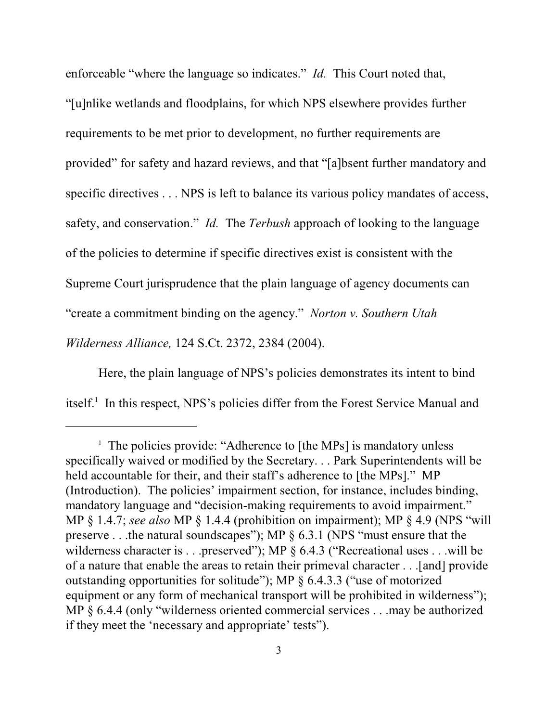enforceable "where the language so indicates." *Id.* This Court noted that, "[u]nlike wetlands and floodplains, for which NPS elsewhere provides further requirements to be met prior to development, no further requirements are provided" for safety and hazard reviews, and that "[a]bsent further mandatory and specific directives . . . NPS is left to balance its various policy mandates of access, safety, and conservation." *Id.* The *Terbush* approach of looking to the language of the policies to determine if specific directives exist is consistent with the Supreme Court jurisprudence that the plain language of agency documents can "create a commitment binding on the agency." *Norton v. Southern Utah Wilderness Alliance,* 124 S.Ct. 2372, 2384 (2004).

Here, the plain language of NPS's policies demonstrates its intent to bind itself. $<sup>1</sup>$  In this respect, NPS's policies differ from the Forest Service Manual and</sup>

<sup>&</sup>lt;sup>1</sup> The policies provide: "Adherence to [the MPs] is mandatory unless specifically waived or modified by the Secretary. . . Park Superintendents will be held accountable for their, and their staff's adherence to [the MPs]." MP (Introduction). The policies' impairment section, for instance, includes binding, mandatory language and "decision-making requirements to avoid impairment." MP § 1.4.7; *see also* MP § 1.4.4 (prohibition on impairment); MP § 4.9 (NPS "will preserve . . .the natural soundscapes"); MP § 6.3.1 (NPS "must ensure that the wilderness character is . . .preserved"); MP § 6.4.3 ("Recreational uses . . .will be of a nature that enable the areas to retain their primeval character . . .[and] provide outstanding opportunities for solitude"); MP § 6.4.3.3 ("use of motorized equipment or any form of mechanical transport will be prohibited in wilderness"); MP § 6.4.4 (only "wilderness oriented commercial services . . .may be authorized if they meet the 'necessary and appropriate' tests").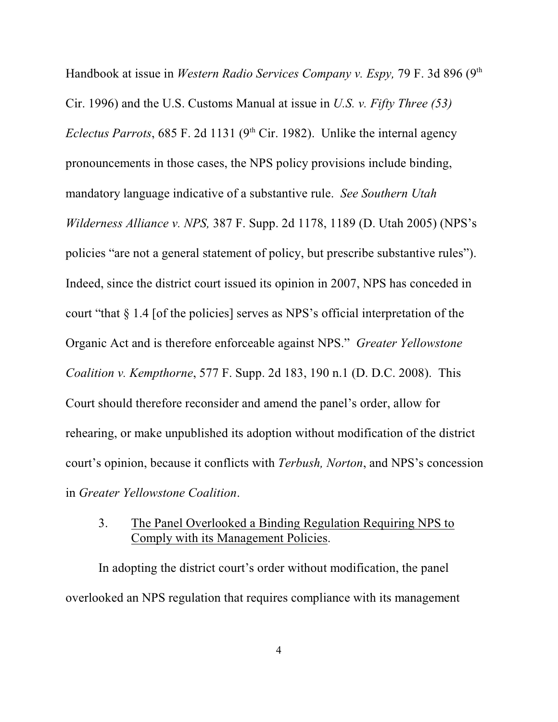Handbook at issue in *Western Radio Services Company v. Espy*, 79 F. 3d 896 (9<sup>th</sup>) Cir. 1996) and the U.S. Customs Manual at issue in *U.S. v. Fifty Three (53) Eclectus Parrots*, 685 F. 2d 1131 ( $9<sup>th</sup>$  Cir. 1982). Unlike the internal agency pronouncements in those cases, the NPS policy provisions include binding, mandatory language indicative of a substantive rule. *See Southern Utah Wilderness Alliance v. NPS,* 387 F. Supp. 2d 1178, 1189 (D. Utah 2005) (NPS's policies "are not a general statement of policy, but prescribe substantive rules"). Indeed, since the district court issued its opinion in 2007, NPS has conceded in court "that § 1.4 [of the policies] serves as NPS's official interpretation of the Organic Act and is therefore enforceable against NPS." *Greater Yellowstone Coalition v. Kempthorne*, 577 F. Supp. 2d 183, 190 n.1 (D. D.C. 2008). This Court should therefore reconsider and amend the panel's order, allow for rehearing, or make unpublished its adoption without modification of the district court's opinion, because it conflicts with *Terbush, Norton*, and NPS's concession in *Greater Yellowstone Coalition*.

## 3. The Panel Overlooked a Binding Regulation Requiring NPS to Comply with its Management Policies.

In adopting the district court's order without modification, the panel overlooked an NPS regulation that requires compliance with its management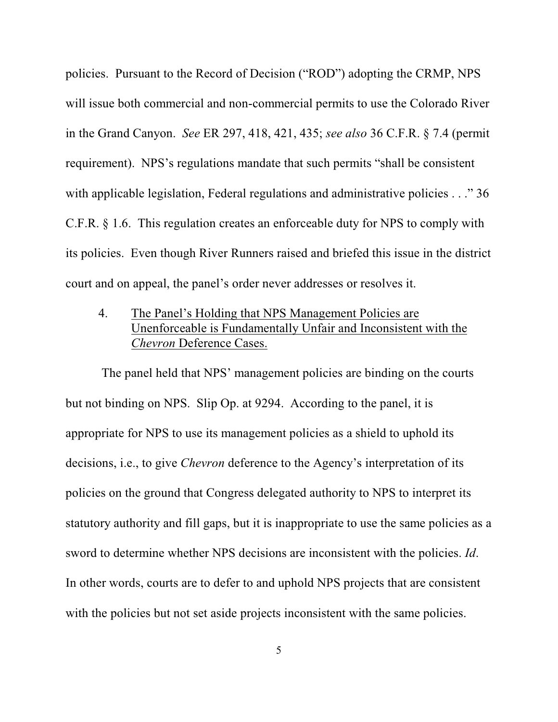policies. Pursuant to the Record of Decision ("ROD") adopting the CRMP, NPS will issue both commercial and non-commercial permits to use the Colorado River in the Grand Canyon. *See* ER 297, 418, 421, 435; *see also* 36 C.F.R. § 7.4 (permit requirement). NPS's regulations mandate that such permits "shall be consistent with applicable legislation, Federal regulations and administrative policies . . ." 36 C.F.R. § 1.6. This regulation creates an enforceable duty for NPS to comply with its policies. Even though River Runners raised and briefed this issue in the district court and on appeal, the panel's order never addresses or resolves it.

4. The Panel's Holding that NPS Management Policies are Unenforceable is Fundamentally Unfair and Inconsistent with the *Chevron* Deference Cases.

 The panel held that NPS' management policies are binding on the courts but not binding on NPS. Slip Op. at 9294. According to the panel, it is appropriate for NPS to use its management policies as a shield to uphold its decisions, i.e., to give *Chevron* deference to the Agency's interpretation of its policies on the ground that Congress delegated authority to NPS to interpret its statutory authority and fill gaps, but it is inappropriate to use the same policies as a sword to determine whether NPS decisions are inconsistent with the policies. *Id*. In other words, courts are to defer to and uphold NPS projects that are consistent with the policies but not set aside projects inconsistent with the same policies.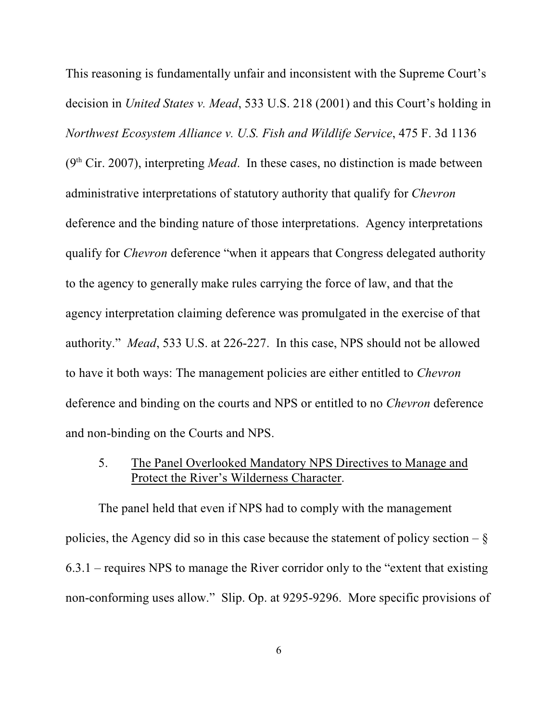This reasoning is fundamentally unfair and inconsistent with the Supreme Court's decision in *United States v. Mead*, 533 U.S. 218 (2001) and this Court's holding in *Northwest Ecosystem Alliance v. U.S. Fish and Wildlife Service*, 475 F. 3d 1136  $(9<sup>th</sup> Cir. 2007)$ , interpreting *Mead*. In these cases, no distinction is made between administrative interpretations of statutory authority that qualify for *Chevron* deference and the binding nature of those interpretations. Agency interpretations qualify for *Chevron* deference "when it appears that Congress delegated authority to the agency to generally make rules carrying the force of law, and that the agency interpretation claiming deference was promulgated in the exercise of that authority." *Mead*, 533 U.S. at 226-227. In this case, NPS should not be allowed to have it both ways: The management policies are either entitled to *Chevron* deference and binding on the courts and NPS or entitled to no *Chevron* deference and non-binding on the Courts and NPS.

5. The Panel Overlooked Mandatory NPS Directives to Manage and Protect the River's Wilderness Character.

The panel held that even if NPS had to comply with the management policies, the Agency did so in this case because the statement of policy section –  $\S$ 6.3.1 – requires NPS to manage the River corridor only to the "extent that existing non-conforming uses allow." Slip. Op. at 9295-9296. More specific provisions of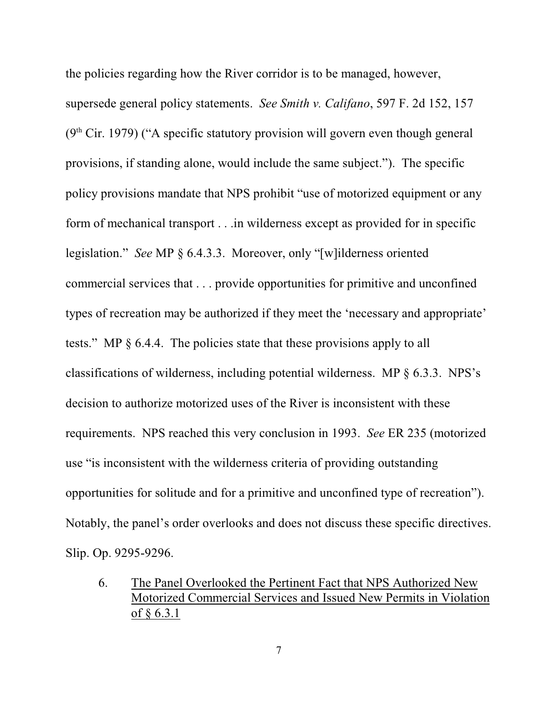the policies regarding how the River corridor is to be managed, however, supersede general policy statements. *See Smith v. Califano*, 597 F. 2d 152, 157  $(9<sup>th</sup> Cir. 1979)$  ("A specific statutory provision will govern even though general provisions, if standing alone, would include the same subject."). The specific policy provisions mandate that NPS prohibit "use of motorized equipment or any form of mechanical transport . . .in wilderness except as provided for in specific legislation." *See* MP § 6.4.3.3. Moreover, only "[w]ilderness oriented commercial services that . . . provide opportunities for primitive and unconfined types of recreation may be authorized if they meet the 'necessary and appropriate' tests." MP § 6.4.4. The policies state that these provisions apply to all classifications of wilderness, including potential wilderness. MP § 6.3.3. NPS's decision to authorize motorized uses of the River is inconsistent with these requirements. NPS reached this very conclusion in 1993. *See* ER 235 (motorized use "is inconsistent with the wilderness criteria of providing outstanding opportunities for solitude and for a primitive and unconfined type of recreation"). Notably, the panel's order overlooks and does not discuss these specific directives. Slip. Op. 9295-9296.

6. The Panel Overlooked the Pertinent Fact that NPS Authorized New Motorized Commercial Services and Issued New Permits in Violation of § 6.3.1

7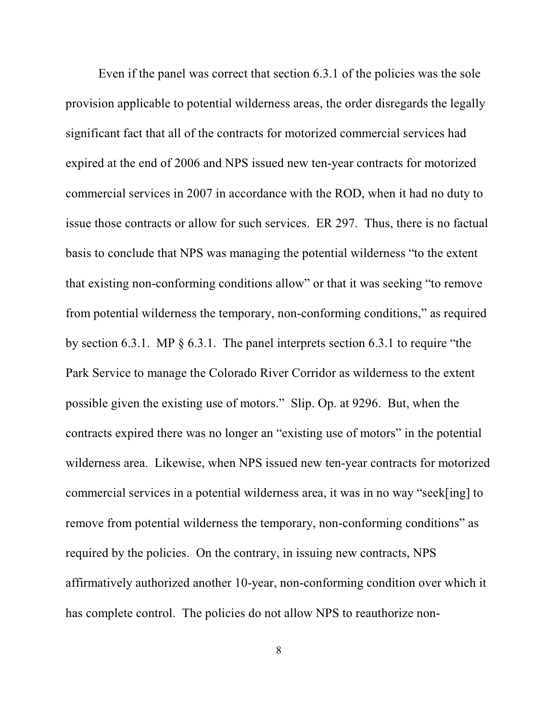Even if the panel was correct that section 6.3.1 of the policies was the sole provision applicable to potential wilderness areas, the order disregards the legally significant fact that all of the contracts for motorized commercial services had expired at the end of 2006 and NPS issued new ten-year contracts for motorized commercial services in 2007 in accordance with the ROD, when it had no duty to issue those contracts or allow for such services. ER 297. Thus, there is no factual basis to conclude that NPS was managing the potential wilderness "to the extent that existing non-conforming conditions allow" or that it was seeking "to remove from potential wilderness the temporary, non-conforming conditions," as required by section 6.3.1. MP § 6.3.1. The panel interprets section 6.3.1 to require "the Park Service to manage the Colorado River Corridor as wilderness to the extent possible given the existing use of motors." Slip. Op. at 9296. But, when the contracts expired there was no longer an "existing use of motors" in the potential wilderness area. Likewise, when NPS issued new ten-year contracts for motorized commercial services in a potential wilderness area, it was in no way "seek[ing] to remove from potential wilderness the temporary, non-conforming conditions" as required by the policies. On the contrary, in issuing new contracts, NPS affirmatively authorized another 10-year, non-conforming condition over which it has complete control. The policies do not allow NPS to reauthorize non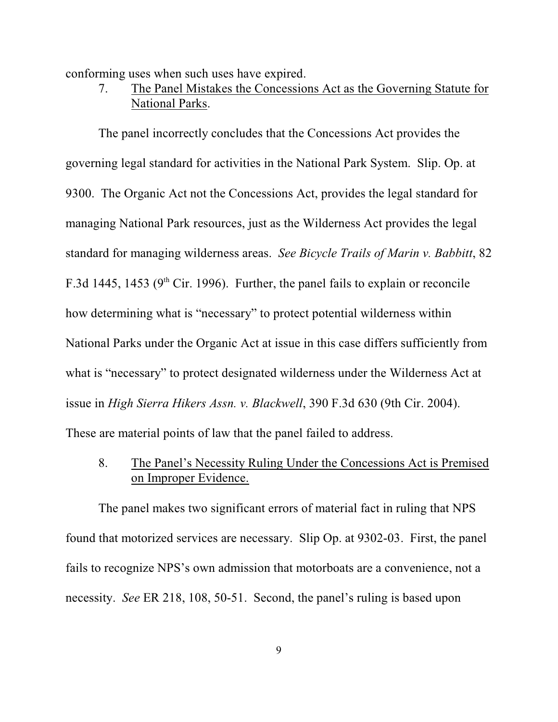conforming uses when such uses have expired.

7. The Panel Mistakes the Concessions Act as the Governing Statute for National Parks.

The panel incorrectly concludes that the Concessions Act provides the governing legal standard for activities in the National Park System. Slip. Op. at 9300. The Organic Act not the Concessions Act, provides the legal standard for managing National Park resources, just as the Wilderness Act provides the legal standard for managing wilderness areas. *See Bicycle Trails of Marin v. Babbitt*, 82 F.3d 1445, 1453 ( $9<sup>th</sup>$  Cir. 1996). Further, the panel fails to explain or reconcile how determining what is "necessary" to protect potential wilderness within National Parks under the Organic Act at issue in this case differs sufficiently from what is "necessary" to protect designated wilderness under the Wilderness Act at issue in *High Sierra Hikers Assn. v. Blackwell*, 390 F.3d 630 (9th Cir. 2004). These are material points of law that the panel failed to address.

8. The Panel's Necessity Ruling Under the Concessions Act is Premised on Improper Evidence.

The panel makes two significant errors of material fact in ruling that NPS found that motorized services are necessary. Slip Op. at 9302-03. First, the panel fails to recognize NPS's own admission that motorboats are a convenience, not a necessity. *See* ER 218, 108, 50-51. Second, the panel's ruling is based upon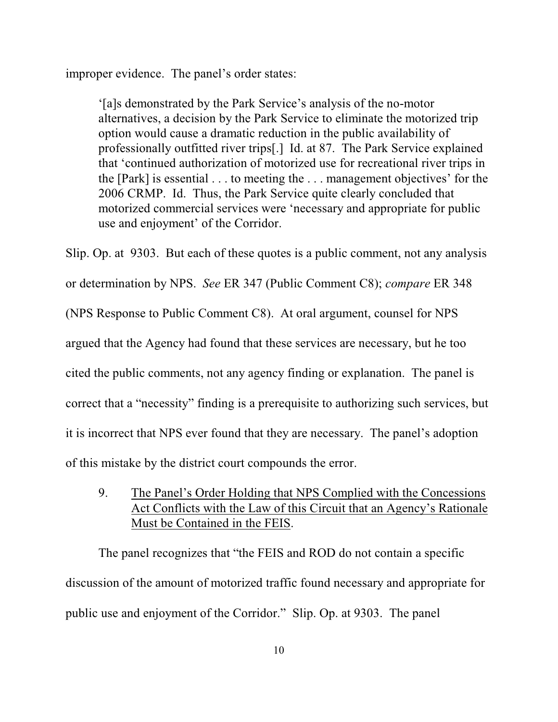improper evidence. The panel's order states:

'[a]s demonstrated by the Park Service's analysis of the no-motor alternatives, a decision by the Park Service to eliminate the motorized trip option would cause a dramatic reduction in the public availability of professionally outfitted river trips[.] Id. at 87. The Park Service explained that 'continued authorization of motorized use for recreational river trips in the [Park] is essential . . . to meeting the . . . management objectives' for the 2006 CRMP. Id. Thus, the Park Service quite clearly concluded that motorized commercial services were 'necessary and appropriate for public use and enjoyment' of the Corridor.

Slip. Op. at 9303. But each of these quotes is a public comment, not any analysis or determination by NPS. *See* ER 347 (Public Comment C8); *compare* ER 348 (NPS Response to Public Comment C8). At oral argument, counsel for NPS argued that the Agency had found that these services are necessary, but he too cited the public comments, not any agency finding or explanation. The panel is correct that a "necessity" finding is a prerequisite to authorizing such services, but it is incorrect that NPS ever found that they are necessary. The panel's adoption of this mistake by the district court compounds the error.

9. The Panel's Order Holding that NPS Complied with the Concessions Act Conflicts with the Law of this Circuit that an Agency's Rationale Must be Contained in the FEIS.

The panel recognizes that "the FEIS and ROD do not contain a specific discussion of the amount of motorized traffic found necessary and appropriate for public use and enjoyment of the Corridor." Slip. Op. at 9303. The panel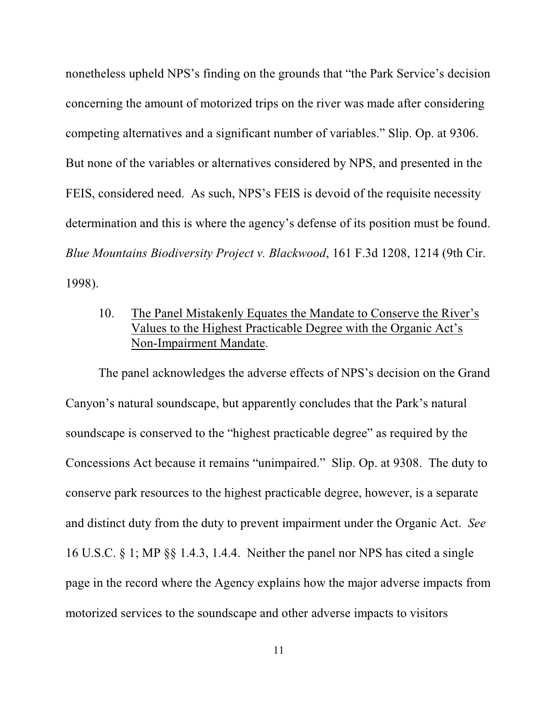nonetheless upheld NPS's finding on the grounds that "the Park Service's decision concerning the amount of motorized trips on the river was made after considering competing alternatives and a significant number of variables." Slip. Op. at 9306. But none of the variables or alternatives considered by NPS, and presented in the FEIS, considered need. As such, NPS's FEIS is devoid of the requisite necessity determination and this is where the agency's defense of its position must be found. *Blue Mountains Biodiversity Project v. Blackwood*, 161 F.3d 1208, 1214 (9th Cir. 1998).

## 10. The Panel Mistakenly Equates the Mandate to Conserve the River's Values to the Highest Practicable Degree with the Organic Act's Non-Impairment Mandate.

The panel acknowledges the adverse effects of NPS's decision on the Grand Canyon's natural soundscape, but apparently concludes that the Park's natural soundscape is conserved to the "highest practicable degree" as required by the Concessions Act because it remains "unimpaired." Slip. Op. at 9308. The duty to conserve park resources to the highest practicable degree, however, is a separate and distinct duty from the duty to prevent impairment under the Organic Act. *See* 16 U.S.C. § 1; MP §§ 1.4.3, 1.4.4. Neither the panel nor NPS has cited a single page in the record where the Agency explains how the major adverse impacts from motorized services to the soundscape and other adverse impacts to visitors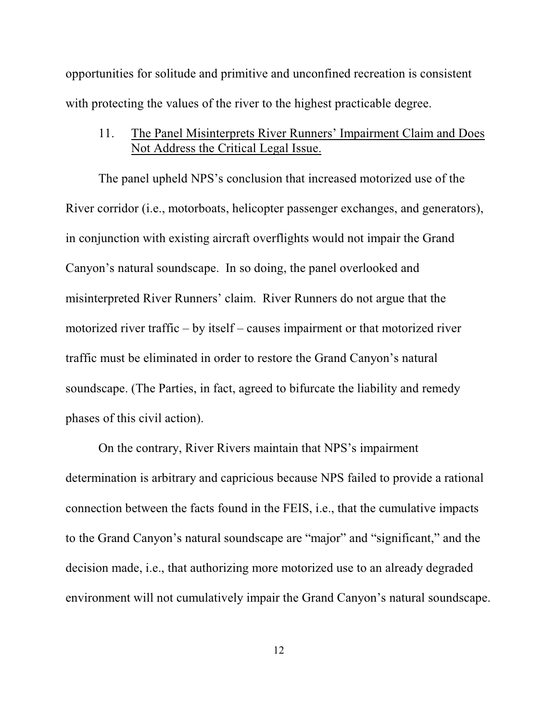opportunities for solitude and primitive and unconfined recreation is consistent with protecting the values of the river to the highest practicable degree.

11. The Panel Misinterprets River Runners' Impairment Claim and Does Not Address the Critical Legal Issue.

The panel upheld NPS's conclusion that increased motorized use of the River corridor (i.e., motorboats, helicopter passenger exchanges, and generators), in conjunction with existing aircraft overflights would not impair the Grand Canyon's natural soundscape. In so doing, the panel overlooked and misinterpreted River Runners' claim. River Runners do not argue that the motorized river traffic – by itself – causes impairment or that motorized river traffic must be eliminated in order to restore the Grand Canyon's natural soundscape. (The Parties, in fact, agreed to bifurcate the liability and remedy phases of this civil action).

On the contrary, River Rivers maintain that NPS's impairment determination is arbitrary and capricious because NPS failed to provide a rational connection between the facts found in the FEIS, i.e., that the cumulative impacts to the Grand Canyon's natural soundscape are "major" and "significant," and the decision made, i.e., that authorizing more motorized use to an already degraded environment will not cumulatively impair the Grand Canyon's natural soundscape.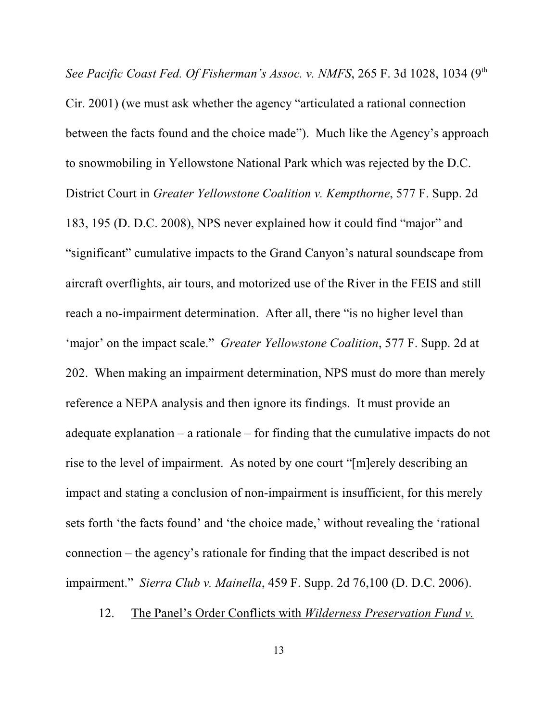*See Pacific Coast Fed. Of Fisherman's Assoc. v. NMFS*, 265 F. 3d 1028, 1034 (9th Cir. 2001) (we must ask whether the agency "articulated a rational connection between the facts found and the choice made"). Much like the Agency's approach to snowmobiling in Yellowstone National Park which was rejected by the D.C. District Court in *Greater Yellowstone Coalition v. Kempthorne*, 577 F. Supp. 2d 183, 195 (D. D.C. 2008), NPS never explained how it could find "major" and "significant" cumulative impacts to the Grand Canyon's natural soundscape from aircraft overflights, air tours, and motorized use of the River in the FEIS and still reach a no-impairment determination. After all, there "is no higher level than 'major' on the impact scale." *Greater Yellowstone Coalition*, 577 F. Supp. 2d at 202. When making an impairment determination, NPS must do more than merely reference a NEPA analysis and then ignore its findings. It must provide an adequate explanation – a rationale – for finding that the cumulative impacts do not rise to the level of impairment. As noted by one court "[m]erely describing an impact and stating a conclusion of non-impairment is insufficient, for this merely sets forth 'the facts found' and 'the choice made,' without revealing the 'rational connection – the agency's rationale for finding that the impact described is not impairment." *Sierra Club v. Mainella*, 459 F. Supp. 2d 76,100 (D. D.C. 2006).

12. The Panel's Order Conflicts with *Wilderness Preservation Fund v.*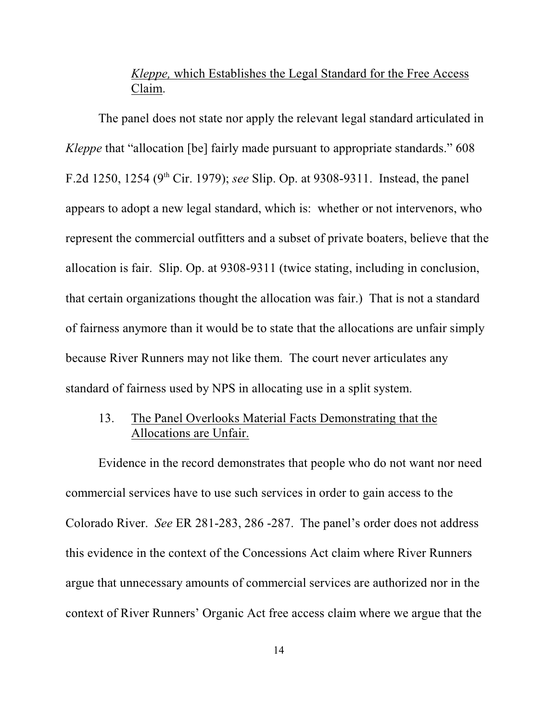## *Kleppe,* which Establishes the Legal Standard for the Free Access Claim.

The panel does not state nor apply the relevant legal standard articulated in *Kleppe* that "allocation [be] fairly made pursuant to appropriate standards." 608 F.2d 1250, 1254 (9<sup>th</sup> Cir. 1979); *see* Slip. Op. at 9308-9311. Instead, the panel appears to adopt a new legal standard, which is: whether or not intervenors, who represent the commercial outfitters and a subset of private boaters, believe that the allocation is fair. Slip. Op. at 9308-9311 (twice stating, including in conclusion, that certain organizations thought the allocation was fair.) That is not a standard of fairness anymore than it would be to state that the allocations are unfair simply because River Runners may not like them. The court never articulates any standard of fairness used by NPS in allocating use in a split system.

## 13. The Panel Overlooks Material Facts Demonstrating that the Allocations are Unfair.

Evidence in the record demonstrates that people who do not want nor need commercial services have to use such services in order to gain access to the Colorado River. *See* ER 281-283, 286 -287. The panel's order does not address this evidence in the context of the Concessions Act claim where River Runners argue that unnecessary amounts of commercial services are authorized nor in the context of River Runners' Organic Act free access claim where we argue that the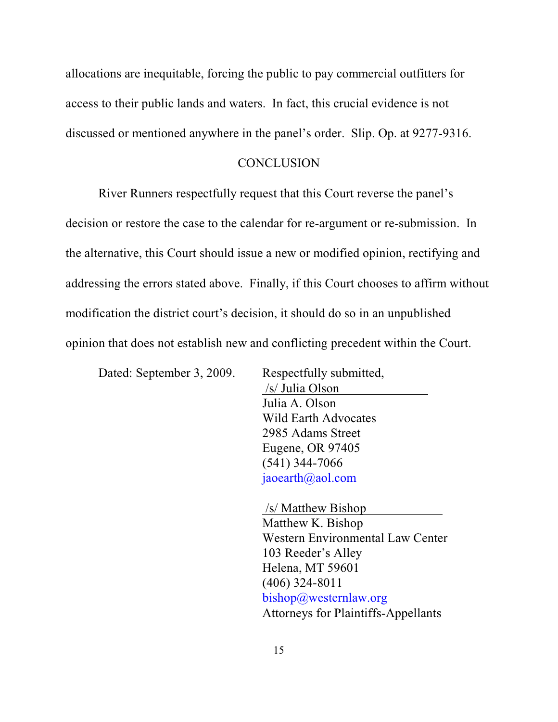allocations are inequitable, forcing the public to pay commercial outfitters for access to their public lands and waters. In fact, this crucial evidence is not discussed or mentioned anywhere in the panel's order. Slip. Op. at 9277-9316.

#### **CONCLUSION**

River Runners respectfully request that this Court reverse the panel's decision or restore the case to the calendar for re-argument or re-submission. In the alternative, this Court should issue a new or modified opinion, rectifying and addressing the errors stated above. Finally, if this Court chooses to affirm without modification the district court's decision, it should do so in an unpublished opinion that does not establish new and conflicting precedent within the Court.

Dated: September 3, 2009. Respectfully submitted,

 /s/ Julia Olson Julia A. Olson Wild Earth Advocates 2985 Adams Street Eugene, OR 97405 (541) 344-7066 [jaoearth@aol.com](mailto:jaoearth@aol.com)

 /s/ Matthew Bishop Matthew K. Bishop Western Environmental Law Center 103 Reeder's Alley Helena, MT 59601 (406) 324-8011 [bishop@westernlaw.org](mailto:bishop@westernlaw.org) Attorneys for Plaintiffs-Appellants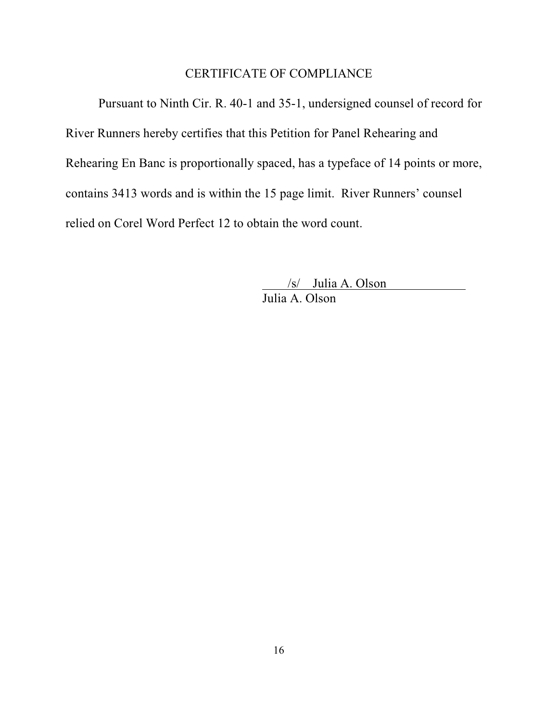#### CERTIFICATE OF COMPLIANCE

Pursuant to Ninth Cir. R. 40-1 and 35-1, undersigned counsel of record for River Runners hereby certifies that this Petition for Panel Rehearing and Rehearing En Banc is proportionally spaced, has a typeface of 14 points or more, contains 3413 words and is within the 15 page limit. River Runners' counsel relied on Corel Word Perfect 12 to obtain the word count.

> /s/ Julia A. Olson Julia A. Olson